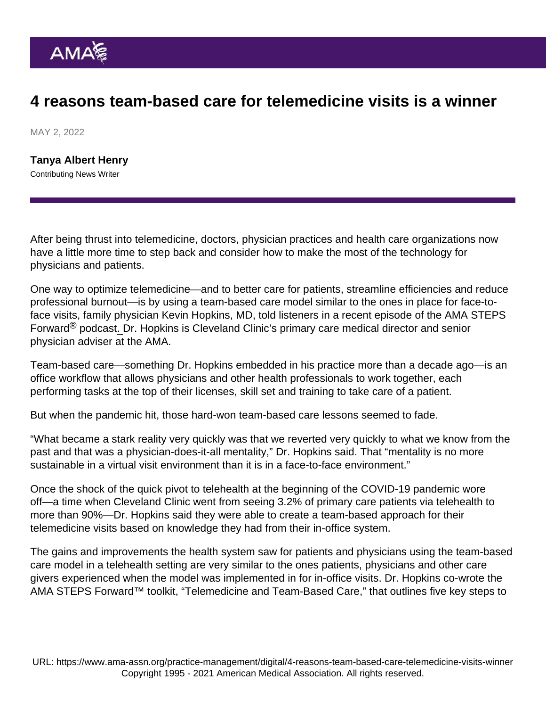### 4 reasons team-based care for telemedicine visits is a winner

MAY 2, 2022

[Tanya Albert Henry](https://www.ama-assn.org/news-leadership-viewpoints/authors-news-leadership-viewpoints/tanya-albert-henry) Contributing News Writer

After being thrust into telemedicine, doctors, physician practices and health care organizations now have a little more time to step back and consider how to make the most of the technology for physicians and patients.

One way to optimize telemedicine—and to better care for patients, streamline efficiencies and reduce professional burnout—is by using a team-based care model similar to the ones in place for face-toface visits, family physician Kevin Hopkins, MD, told listeners in a [recent episode](https://podcasts.apple.com/us/podcast/telemedicine-is-a-team-effort/id1568105695) of the [AMA STEPS](https://edhub.ama-assn.org/steps-forward/pages/podcast) Forward® [podcast](https://edhub.ama-assn.org/steps-forward/pages/podcast). Dr. Hopkins is Cleveland Clinic's primary care medical director and senior physician adviser at the AMA.

Team-based care—something Dr. Hopkins embedded in his practice more than a decade ago—is an office workflow that allows physicians and other health professionals to work together, each performing tasks at the top of their licenses, skill set and training to take care of a patient.

But when the pandemic hit, those hard-won team-based care lessons seemed to fade.

"What became a stark reality very quickly was that we reverted very quickly to what we know from the past and that was a physician-does-it-all mentality," Dr. Hopkins said. That "mentality is no more sustainable in a virtual visit environment than it is in a face-to-face environment."

Once the shock of the quick pivot to [telehealth](https://www.ama-assn.org/topics/telehealth) at the beginning of the COVID-19 pandemic wore off—a time when Cleveland Clinic went from seeing 3.2% of primary care patients via telehealth to more than 90%—Dr. Hopkins said they were able to create a team-based approach for their telemedicine visits based on knowledge they had from their in-office system.

The gains and improvements the health system saw for patients and physicians using the team-based care model in a telehealth setting are very similar to the ones patients, physicians and other care givers experienced when the model was implemented in for in-office visits. Dr. Hopkins co-wrote the AMA STEPS Forward™ toolkit, ["Telemedicine and Team-Based Care](https://edhub.ama-assn.org/steps-forward/module/2781279)," that outlines five key steps to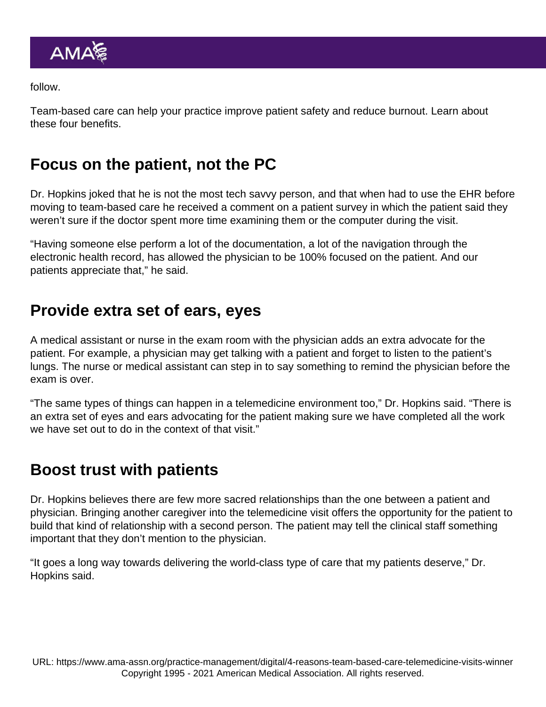follow.

Team-based care can help your practice improve patient safety and reduce burnout. Learn about these four benefits.

## Focus on the patient, not the PC

Dr. Hopkins joked that he is not the most tech savvy person, and that when had to use the EHR before moving to team-based care he received a comment on a patient survey in which the patient said they weren't sure if the doctor spent more time examining them or the computer during the visit.

"Having someone else perform a lot of the documentation, a lot of the navigation through the electronic health record, has allowed the physician to be 100% focused on the patient. And our patients appreciate that," he said.

### Provide extra set of ears, eyes

A medical assistant or nurse in the exam room with the physician adds an extra advocate for the patient. For example, a physician may get talking with a patient and forget to listen to the patient's lungs. The nurse or medical assistant can step in to say something to remind the physician before the exam is over.

"The same types of things can happen in a telemedicine environment too," Dr. Hopkins said. "There is an extra set of eyes and ears advocating for the patient making sure we have completed all the work we have set out to do in the context of that visit."

#### Boost trust with patients

Dr. Hopkins believes there are few more sacred relationships than the one between a patient and physician. Bringing another caregiver into the telemedicine visit offers the opportunity for the patient to build that kind of relationship with a second person. The patient may tell the clinical staff something important that they don't mention to the physician.

"It goes a long way towards delivering the world-class type of care that my patients deserve," Dr. Hopkins said.